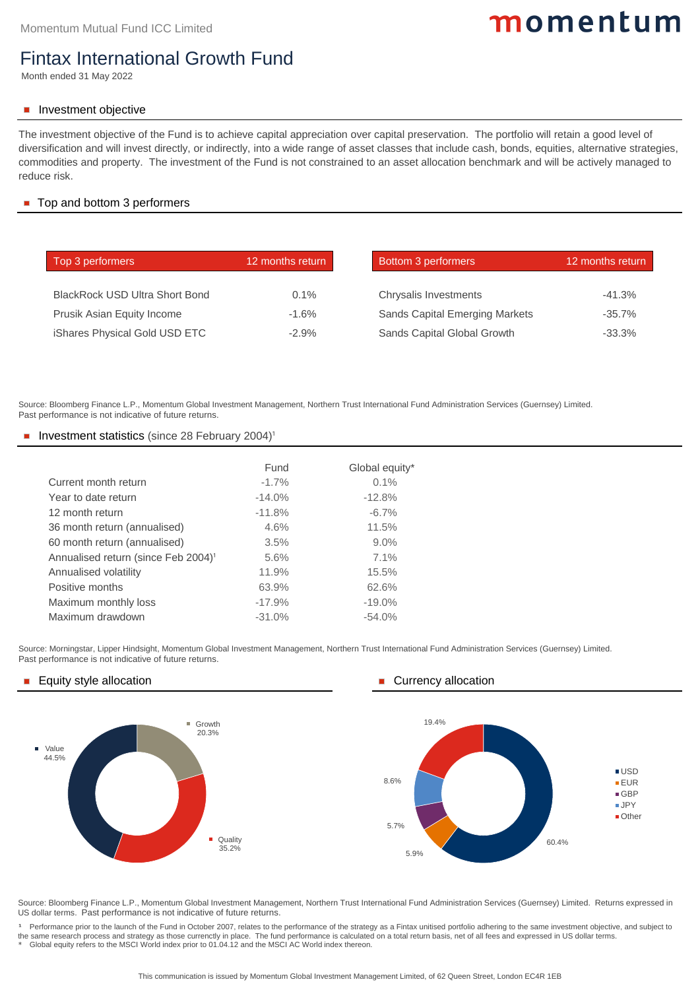| Top 3 performers                      | 12 months return | <b>Bottom 3 performers</b>            | 12 months return |
|---------------------------------------|------------------|---------------------------------------|------------------|
| <b>BlackRock USD Ultra Short Bond</b> | $0.1\%$          |                                       | $-41.3%$         |
|                                       |                  | <b>Chrysalis Investments</b>          |                  |
| <b>Prusik Asian Equity Income</b>     | $-1.6\%$         | <b>Sands Capital Emerging Markets</b> | $-35.7\%$        |
| <b>iShares Physical Gold USD ETC</b>  | $-2.9\%$         | <b>Sands Capital Global Growth</b>    | $-33.3%$         |

#### Top and bottom 3 performers

# momentum

### Fintax International Growth Fund

Month ended 31 May 2022

#### Investment objective

|                                                 | Fund     | Global equity* |
|-------------------------------------------------|----------|----------------|
| Current month return                            | $-1.7\%$ | 0.1%           |
| Year to date return                             | $-14.0%$ | $-12.8%$       |
| 12 month return                                 | $-11.8%$ | $-6.7\%$       |
| 36 month return (annualised)                    | 4.6%     | 11.5%          |
| 60 month return (annualised)                    | 3.5%     | 9.0%           |
| Annualised return (since Feb 2004) <sup>1</sup> | 5.6%     | 7.1%           |
| <b>Annualised volatility</b>                    | 11.9%    | 15.5%          |
| <b>Positive months</b>                          | 63.9%    | 62.6%          |
| Maximum monthly loss                            | $-17.9%$ | $-19.0\%$      |
| Maximum drawdown                                | $-31.0%$ | $-54.0%$       |

Source: Morningstar, Lipper Hindsight, Momentum Global Investment Management, Northern Trust International Fund Administration Services (Guernsey) Limited. Past performance is not indicative of future returns.

#### Equity style allocation **Currency allocation Currency allocation**

<sup>1</sup> Performance prior to the launch of the Fund in October 2007, relates to the performance of the strategy as a Fintax unitised portfolio adhering to the same investment objective, and subject to the same research process and strategy as those currenctly in place. The fund performance is calculated on a total return basis, net of all fees and expressed in US dollar terms.

Source: Bloomberg Finance L.P., Momentum Global Investment Management, Northern Trust International Fund Administration Services (Guernsey) Limited. Past performance is not indicative of future returns.

#### Investment statistics (since 28 February 2004)<sup>1</sup>

Source: Bloomberg Finance L.P., Momentum Global Investment Management, Northern Trust International Fund Administration Services (Guernsey) Limited. Returns expressed in US dollar terms. Past performance is not indicative of future returns.

\* Global equity refers to the MSCI World index prior to 01.04.12 and the MSCI AC World index thereon.

The investment objective of the Fund is to achieve capital appreciation over capital preservation. The portfolio will retain a good level of diversification and will invest directly, or indirectly, into a wide range of asset classes that include cash, bonds, equities, alternative strategies, commodities and property. The investment of the Fund is not constrained to an asset allocation benchmark and will be actively managed to reduce risk.

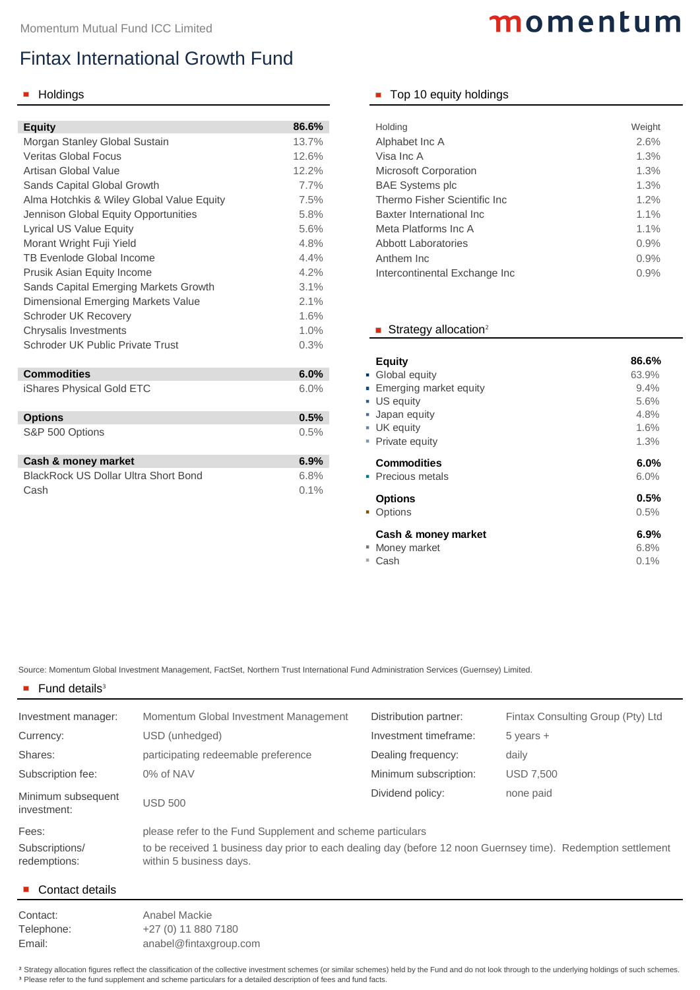Source: Momentum Global Investment Management, FactSet, Northern Trust International Fund Administration Services (Guernsey) Limited.

#### $\blacksquare$  Fund details<sup>3</sup>

| <b>Equity</b>                                | 86.6% | <b>Holding</b>                      | Weight |
|----------------------------------------------|-------|-------------------------------------|--------|
| Morgan Stanley Global Sustain                | 13.7% | Alphabet Inc A                      | 2.6%   |
| <b>Veritas Global Focus</b>                  | 12.6% | Visa Inc A                          | 1.3%   |
| <b>Artisan Global Value</b>                  | 12.2% | <b>Microsoft Corporation</b>        | 1.3%   |
| <b>Sands Capital Global Growth</b>           | 7.7%  | <b>BAE Systems plc</b>              | 1.3%   |
| Alma Hotchkis & Wiley Global Value Equity    | 7.5%  | <b>Thermo Fisher Scientific Inc</b> | 1.2%   |
| <b>Jennison Global Equity Opportunities</b>  | 5.8%  | <b>Baxter International Inc.</b>    | 1.1%   |
| <b>Lyrical US Value Equity</b>               | 5.6%  | <b>Meta Platforms Inc A</b>         | 1.1%   |
| Morant Wright Fuji Yield                     | 4.8%  | <b>Abbott Laboratories</b>          | 0.9%   |
| <b>TB Evenlode Global Income</b>             | 4.4%  | Anthem Inc                          | 0.9%   |
| <b>Prusik Asian Equity Income</b>            | 4.2%  | Intercontinental Exchange Inc       | 0.9%   |
| <b>Sands Capital Emerging Markets Growth</b> | 3.1%  |                                     |        |
| <b>Dimensional Emerging Markets Value</b>    | 2.1%  |                                     |        |
| <b>Schroder UK Recovery</b>                  | 1.6%  |                                     |        |
| <b>Chrysalis Investments</b>                 | 1.0%  | Strategy allocation <sup>2</sup>    |        |
| <b>Schroder UK Public Private Trust</b>      | 0.3%  |                                     |        |
|                                              |       | <b>Equity</b>                       | 86.6%  |
| <b>Commodities</b>                           | 6.0%  | • Global equity                     | 63.9%  |
| iShares Physical Gold ETC                    | 6.0%  | ■ Emerging market equity            | 9.4%   |

Contact: Anabel Mackie Telephone: +27 (0) 11 880 7180 Email: [anabel@fintaxgroup.com](mailto:anabel@fintaxgroup.com)

<sup>2</sup> Strategy allocation figures reflect the classification of the collective investment schemes (or similar schemes) held by the Fund and do not look through to the underlying holdings of such schemes. <sup>3</sup> Please refer to the fund supplement and scheme particulars for a detailed description of fees and fund facts.

| ■ Money market | 6.8% |
|----------------|------|
| ■ Cash         | 0.1% |

| <b>Options</b>  | 0.5% |
|-----------------|------|
| S&P 500 Options | 0.5% |

| <b>Cash &amp; money market</b>              | 6.9%    |
|---------------------------------------------|---------|
| <b>BlackRock US Dollar Ultra Short Bond</b> | $6.8\%$ |
| Cash                                        | $0.1\%$ |

# momentum

### **Holdings Top 10 equity holdings**

| <b>Holding</b>                       | Weight  |
|--------------------------------------|---------|
| Alphabet Inc A                       | 2.6%    |
| Visa Inc A                           | 1.3%    |
| <b>Microsoft Corporation</b>         | 1.3%    |
| <b>BAE Systems plc</b>               | 1.3%    |
| <b>Thermo Fisher Scientific Inc.</b> | $1.2\%$ |
| <b>Baxter International Inc.</b>     | $1.1\%$ |
| Meta Platforms Inc A                 | 1.1%    |
| <b>Abbott Laboratories</b>           | 0.9%    |
| Anthem Inc                           | 0.9%    |
| Intercontinental Exchange Inc        | 0.9%    |

### Strategy allocation<sup>2</sup>

| Investment manager:               | Momentum Global Investment Management                                                                                                    | Distribution partner: | Fintax Consulting Group (Pty) Ltd |
|-----------------------------------|------------------------------------------------------------------------------------------------------------------------------------------|-----------------------|-----------------------------------|
| Currency:                         | USD (unhedged)                                                                                                                           | Investment timeframe: | $5$ years $+$                     |
| Shares:                           | participating redeemable preference                                                                                                      | Dealing frequency:    | daily                             |
| Subscription fee:                 | 0% of NAV                                                                                                                                | Minimum subscription: | <b>USD 7,500</b>                  |
| Minimum subsequent<br>investment: | <b>USD 500</b>                                                                                                                           | Dividend policy:      | none paid                         |
| Fees:                             | please refer to the Fund Supplement and scheme particulars                                                                               |                       |                                   |
| Subscriptions/<br>redemptions:    | to be received 1 business day prior to each dealing day (before 12 noon Guernsey time). Redemption settlement<br>within 5 business days. |                       |                                   |

#### ■ Contact details

## Fintax International Growth Fund

| <b>Equity</b>                 | 86.6% |
|-------------------------------|-------|
| • Global equity               | 63.9% |
| <b>Emerging market equity</b> | 9.4%  |
| <b>US equity</b>              | 5.6%  |
| <b>Japan equity</b>           | 4.8%  |
| <b>UK</b> equity              | 1.6%  |
| • Private equity              | 1.3%  |
| <b>Commodities</b>            | 6.0%  |
| • Precious metals             | 6.0%  |
| <b>Options</b>                | 0.5%  |
| • Options                     | 0.5%  |

### **Cash & money market 6.9%**